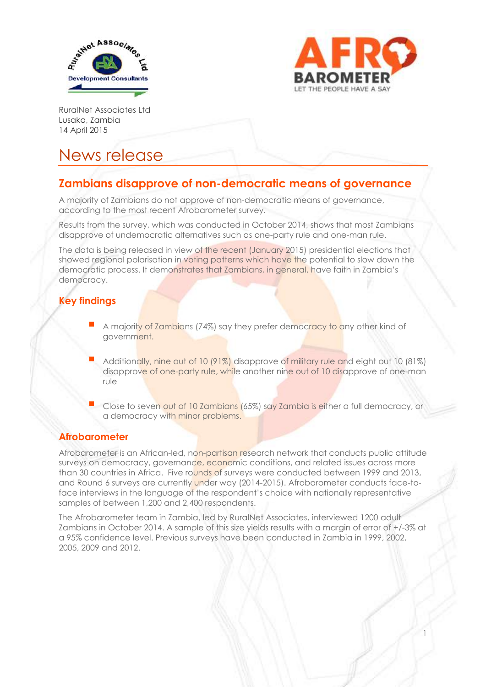



1

RuralNet Associates Ltd Lusaka, Zambia 14 April 2015

# News release

# **Zambians disapprove of non-democratic means of governance**

A majority of Zambians do not approve of non-democratic means of governance, according to the most recent Afrobarometer survey.

Results from the survey, which was conducted in October 2014, shows that most Zambians disapprove of undemocratic alternatives such as one-party rule and one-man rule.

The data is being released in view of the recent (January 2015) presidential elections that showed regional polarisation in voting patterns which have the potential to slow down the democratic process. It demonstrates that Zambians, in general, have faith in Zambia's democracy.

## **Key findings**

- A majority of Zambians (74%) say they prefer democracy to any other kind of government.
- Additionally, nine out of 10 (91%) disapprove of military rule and eight out 10 (81%) disapprove of one-party rule, while another nine out of 10 disapprove of one-man rule
- Close to seven out of 10 Zambians (65%) say Zambia is either a full democracy, or a democracy with minor problems.

## **Afrobarometer**

Afrobarometer is an African-led, non-partisan research network that conducts public attitude surveys on democracy, governance, economic conditions, and related issues across more than 30 countries in Africa. Five rounds of surveys were conducted between 1999 and 2013, and Round 6 surveys are currently under way (2014-2015). Afrobarometer conducts face-toface interviews in the language of the respondent's choice with nationally representative samples of between 1,200 and 2,400 respondents.

The Afrobarometer team in Zambia, led by RuralNet Associates, interviewed 1200 adult Zambians in October 2014. A sample of this size yields results with a margin of error of +/-3% at a 95% confidence level. Previous surveys have been conducted in Zambia in 1999, 2002, 2005, 2009 and 2012.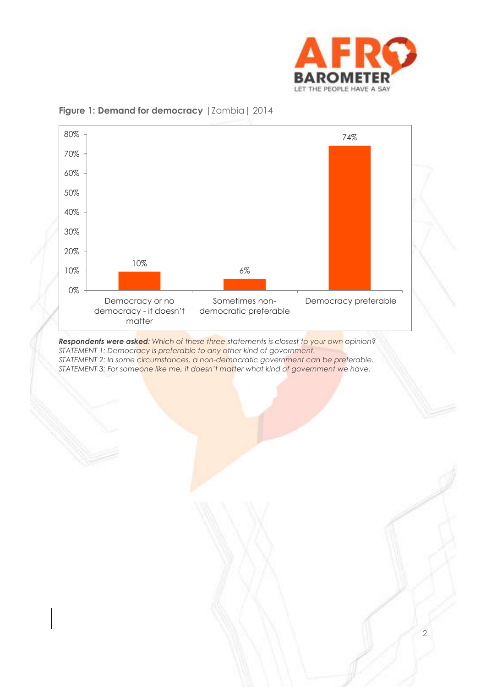



#### **Figure 1: Demand for democracy** | Zambia | 2014